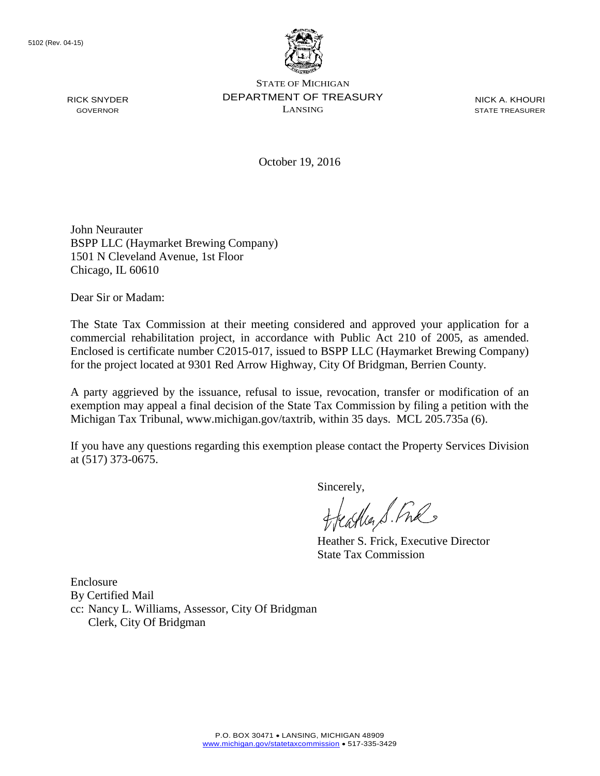RICK SNYDER GOVERNOR



STATE OF MICHIGAN DEPARTMENT OF TREASURY LANSING

NICK A. KHOURI STATE TREASURER

October 19, 2016

John Neurauter BSPP LLC (Haymarket Brewing Company) 1501 N Cleveland Avenue, 1st Floor Chicago, IL 60610

Dear Sir or Madam:

The State Tax Commission at their meeting considered and approved your application for a commercial rehabilitation project, in accordance with Public Act 210 of 2005, as amended. Enclosed is certificate number C2015-017, issued to BSPP LLC (Haymarket Brewing Company) for the project located at 9301 Red Arrow Highway, City Of Bridgman, Berrien County.

A party aggrieved by the issuance, refusal to issue, revocation, transfer or modification of an exemption may appeal a final decision of the State Tax Commission by filing a petition with the Michigan Tax Tribunal, www.michigan.gov/taxtrib, within 35 days. MCL 205.735a (6).

If you have any questions regarding this exemption please contact the Property Services Division at (517) 373-0675.

Sincerely,

freastles S. Fre

Heather S. Frick, Executive Director State Tax Commission

Enclosure By Certified Mail cc: Nancy L. Williams, Assessor, City Of Bridgman Clerk, City Of Bridgman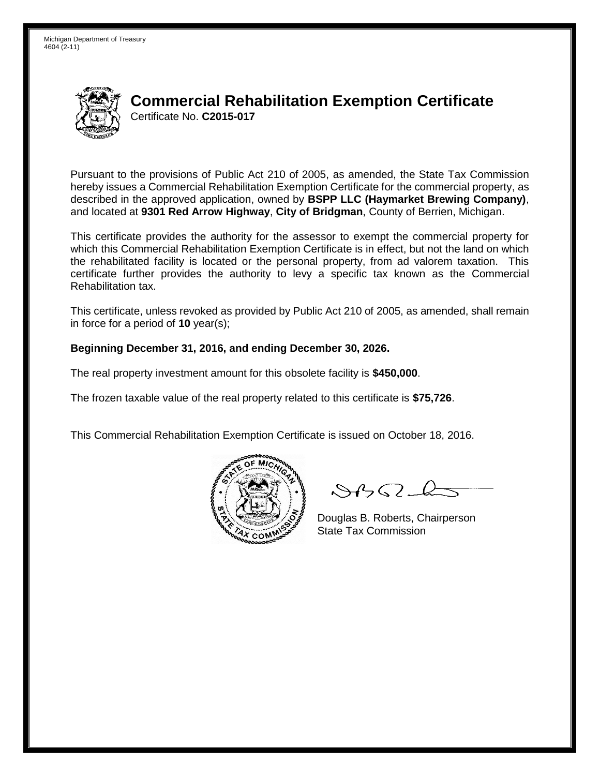Michigan Department of Treasury 4604 (2-11)



## **Commercial Rehabilitation Exemption Certificate** Certificate No. **C2015-017**

Pursuant to the provisions of Public Act 210 of 2005, as amended, the State Tax Commission hereby issues a Commercial Rehabilitation Exemption Certificate for the commercial property, as described in the approved application, owned by **BSPP LLC (Haymarket Brewing Company)**, and located at **9301 Red Arrow Highway**, **City of Bridgman**, County of Berrien, Michigan.

This certificate provides the authority for the assessor to exempt the commercial property for which this Commercial Rehabilitation Exemption Certificate is in effect, but not the land on which the rehabilitated facility is located or the personal property, from ad valorem taxation. This certificate further provides the authority to levy a specific tax known as the Commercial Rehabilitation tax.

This certificate, unless revoked as provided by Public Act 210 of 2005, as amended, shall remain in force for a period of **10** year(s);

## **Beginning December 31, 2016, and ending December 30, 2026.**

The real property investment amount for this obsolete facility is **\$450,000**.

The frozen taxable value of the real property related to this certificate is **\$75,726**.

This Commercial Rehabilitation Exemption Certificate is issued on October 18, 2016.



 $\mathcal{A}$ 

Douglas B. Roberts, Chairperson State Tax Commission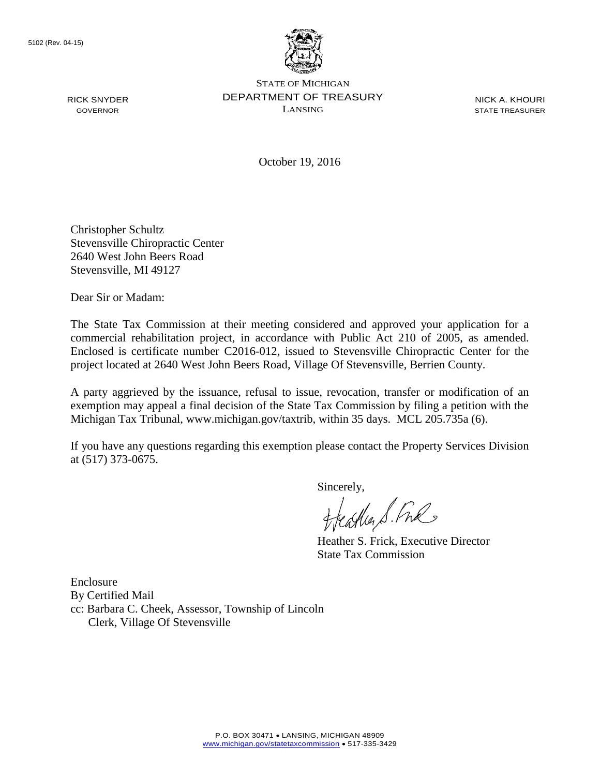RICK SNYDER GOVERNOR



STATE OF MICHIGAN DEPARTMENT OF TREASURY LANSING

NICK A. KHOURI STATE TREASURER

October 19, 2016

Christopher Schultz Stevensville Chiropractic Center 2640 West John Beers Road Stevensville, MI 49127

Dear Sir or Madam:

The State Tax Commission at their meeting considered and approved your application for a commercial rehabilitation project, in accordance with Public Act 210 of 2005, as amended. Enclosed is certificate number C2016-012, issued to Stevensville Chiropractic Center for the project located at 2640 West John Beers Road, Village Of Stevensville, Berrien County.

A party aggrieved by the issuance, refusal to issue, revocation, transfer or modification of an exemption may appeal a final decision of the State Tax Commission by filing a petition with the Michigan Tax Tribunal, www.michigan.gov/taxtrib, within 35 days. MCL 205.735a (6).

If you have any questions regarding this exemption please contact the Property Services Division at (517) 373-0675.

Sincerely,

freastles S. Fre

Heather S. Frick, Executive Director State Tax Commission

Enclosure By Certified Mail cc: Barbara C. Cheek, Assessor, Township of Lincoln Clerk, Village Of Stevensville